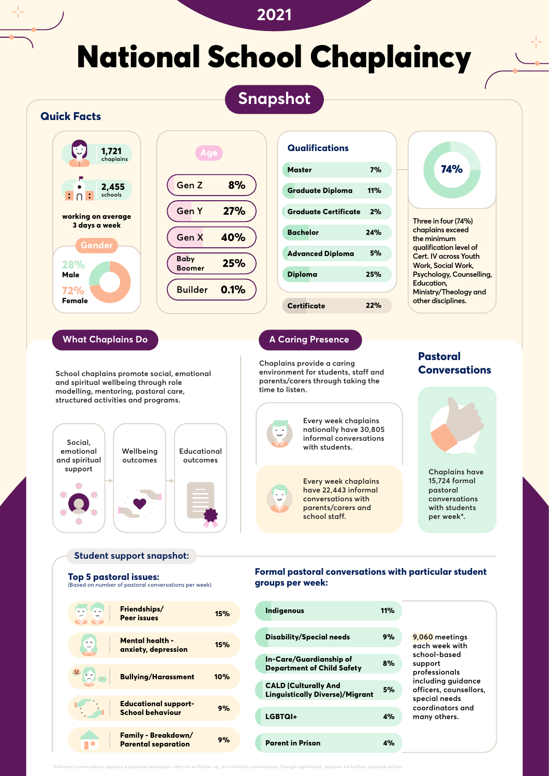## **2021**

# National School Chaplaincy

**Snapshot**



**CALD (Culturally And** 

**Linguistically Diverse)/Migrant 5%**

**LGBTQI+ 4%**

**Parent in Prison 4%**



**\*A formal conversation requires a pastoral resolution, referral or follow-up. An informal conversation, though significant, requires no further pastoral action.**